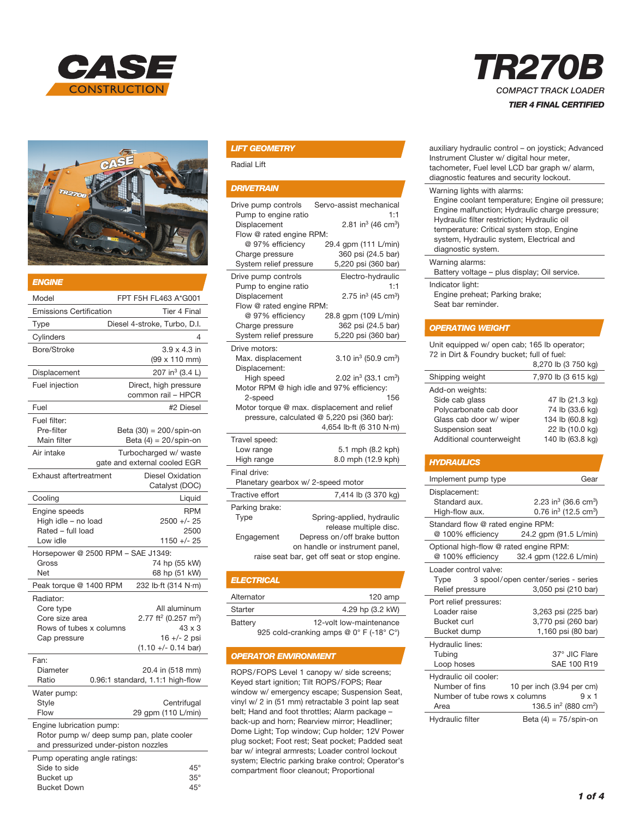



| ENGINE                                                                                                        |                                                                                                                                  |
|---------------------------------------------------------------------------------------------------------------|----------------------------------------------------------------------------------------------------------------------------------|
| Model                                                                                                         | FPT F5H FL463 A*G001                                                                                                             |
| <b>Emissions Certification</b>                                                                                | Tier 4 Final                                                                                                                     |
| Type                                                                                                          | Diesel 4-stroke, Turbo, D.I.                                                                                                     |
| Cylinders                                                                                                     | 4                                                                                                                                |
| Bore/Stroke                                                                                                   | $3.9 \times 4.3$ in<br>(99 x 110 mm)                                                                                             |
| Displacement                                                                                                  | 207 in <sup>3</sup> (3.4 L)                                                                                                      |
| Fuel injection                                                                                                | Direct, high pressure<br>common rail - HPCR                                                                                      |
| Fuel                                                                                                          | #2 Diesel                                                                                                                        |
| Fuel filter:<br>Pre-filter<br>Main filter                                                                     | Beta (30) = 200/spin-on<br>Beta $(4) = 20$ /spin-on                                                                              |
| Air intake                                                                                                    | Turbocharged w/ waste<br>gate and external cooled EGR                                                                            |
| <b>Exhaust aftertreatment</b>                                                                                 | <b>Diesel Oxidation</b><br>Catalyst (DOC)                                                                                        |
| Cooling                                                                                                       | Liquid                                                                                                                           |
| Engine speeds<br>High idle - no load<br>Rated - full load<br>Low idle                                         | <b>RPM</b><br>$2500 +/- 25$<br>2500<br>1150 +/- 25                                                                               |
| Horsepower @ 2500 RPM - SAE J1349:                                                                            |                                                                                                                                  |
| Gross<br>Net                                                                                                  | 74 hp (55 kW)<br>68 hp (51 kW)                                                                                                   |
| Peak torque @ 1400 RPM                                                                                        | 232 lb·ft (314 N·m)                                                                                                              |
| Radiator:<br>Core type<br>Core size area<br>Rows of tubes x columns<br>Cap pressure                           | All aluminum<br>2.77 ft <sup>2</sup> (0.257 m <sup>2</sup> )<br>$43 \times 3$<br>$16 +/- 2$ psi<br>$(1.10 +/- 0.14 \text{ bar})$ |
| Fan:<br>Diameter<br>Ratio                                                                                     | 20.4 in (518 mm)<br>0.96:1 standard, 1.1:1 high-flow                                                                             |
| Water pump:<br>Style<br>Flow                                                                                  | Centrifugal<br>29 gpm (110 L/min)                                                                                                |
| Engine lubrication pump:<br>Rotor pump w/ deep sump pan, plate cooler<br>and pressurized under-piston nozzles |                                                                                                                                  |
| Pump operating angle ratings:<br>Side to side<br>Bucket up                                                    | $45^{\circ}$<br>$35^\circ$                                                                                                       |

Bucket Down 45°

#### *LIFT GEOMETRY*

Radial Lift

#### *DRIVETRAIN*

| Drive pump controls<br>Pump to engine ratio<br>Displacement<br>Flow @ rated engine RPM:<br>@ 97% efficiency<br>Charge pressure<br>System relief pressure                                                                                                                                                                                                  | Servo-assist mechanical<br>1:1<br>2.81 in <sup>3</sup> (46 cm <sup>3</sup> )<br>29.4 gpm (111 L/min)<br>360 psi (24.5 bar)<br>5,220 psi (360 bar)                    |  |  |
|-----------------------------------------------------------------------------------------------------------------------------------------------------------------------------------------------------------------------------------------------------------------------------------------------------------------------------------------------------------|----------------------------------------------------------------------------------------------------------------------------------------------------------------------|--|--|
| Drive pump controls<br>Pump to engine ratio<br>Displacement<br>Flow @ rated engine RPM:<br>@ 97% efficiency<br>Charge pressure<br>System relief pressure                                                                                                                                                                                                  | Electro-hydraulic<br>1:1<br>$2.75$ in <sup>3</sup> (45 cm <sup>3</sup> )<br>28.8 qpm (109 L/min)<br>362 psi (24.5 bar)<br>5,220 psi (360 bar)                        |  |  |
| Drive motors:<br>Max. displacement<br>3.10 in <sup>3</sup> (50.9 cm <sup>3</sup> )<br>Displacement:<br>2.02 in <sup>3</sup> (33.1 cm <sup>3</sup> )<br>High speed<br>Motor RPM @ high idle and 97% efficiency:<br>2-speed<br>156<br>Motor torque @ max. displacement and relief<br>pressure, calculated @ 5,220 psi (360 bar):<br>4,654 lb·ft (6 310 N·m) |                                                                                                                                                                      |  |  |
| Travel speed:<br>Low range<br>High range<br>Final drive:                                                                                                                                                                                                                                                                                                  | 5.1 mph (8.2 kph)<br>8.0 mph (12.9 kph)                                                                                                                              |  |  |
| Planetary gearbox w/ 2-speed motor                                                                                                                                                                                                                                                                                                                        |                                                                                                                                                                      |  |  |
| Tractive effort                                                                                                                                                                                                                                                                                                                                           | 7,414 lb (3 370 kg)                                                                                                                                                  |  |  |
| Parking brake:<br>Type<br>Engagement                                                                                                                                                                                                                                                                                                                      | Spring-applied, hydraulic<br>release multiple disc.<br>Depress on/off brake button<br>on handle or instrument panel,<br>raise seat bar, get off seat or stop engine. |  |  |

| <b>ELECTRICAL</b>                       |                         |  |
|-----------------------------------------|-------------------------|--|
| Alternator                              | $120$ amp               |  |
| Starter                                 | 4.29 hp (3.2 kW)        |  |
| Battery                                 | 12-volt low-maintenance |  |
| 925 cold-cranking amps @ 0° F (-18° C°) |                         |  |

#### *OPERATOR ENVIRONMENT*

ROPS/FOPS Level 1 canopy w/ side screens; Keyed start ignition; Tilt ROPS/FOPS; Rear window w/ emergency escape; Suspension Seat, vinyl w/ 2 in (51 mm) retractable 3 point lap seat belt; Hand and foot throttles; Alarm package – back-up and horn; Rearview mirror; Headliner; Dome Light; Top window; Cup holder; 12V Power plug socket; Foot rest; Seat pocket; Padded seat bar w/ integral armrests; Loader control lockout system; Electric parking brake control; Operator's compartment floor cleanout; Proportional

# *TR270B COMPACT TRACK LOADER TIER 4 FINAL CERTIFIED*

| auxiliary hydraulic control – on joystick; Advanced<br>Instrument Cluster w/ digital hour meter,<br>tachometer, Fuel level LCD bar graph w/ alarm,<br>diagnostic features and security lockout.                                                                                                 |
|-------------------------------------------------------------------------------------------------------------------------------------------------------------------------------------------------------------------------------------------------------------------------------------------------|
| Warning lights with alarms:<br>Engine coolant temperature; Engine oil pressure;<br>Engine malfunction; Hydraulic charge pressure;<br>Hydraulic filter restriction; Hydraulic oil<br>temperature: Critical system stop, Engine<br>system, Hydraulic system, Electrical and<br>diagnostic system. |
| Warning alarms:<br>Battery voltage - plus display; Oil service.                                                                                                                                                                                                                                 |
| Indicator light:<br>Engine preheat; Parking brake;<br>Seat bar reminder.                                                                                                                                                                                                                        |
| <b>OPERATING WEIGHT</b>                                                                                                                                                                                                                                                                         |

Unit equipped w/ open cab; 165 lb operator; 72 in Dirt & Foundry bucket; full of fuel:

|                                                                                        | 8,270 lb (3 750 kg)                                    |
|----------------------------------------------------------------------------------------|--------------------------------------------------------|
| Shipping weight                                                                        | 7,970 lb (3 615 kg)                                    |
| Add-on weights:<br>Side cab glass<br>Polycarbonate cab door<br>Glass cab door w/ wiper | 47 lb (21.3 kg)<br>74 lb (33.6 kg)<br>134 lb (60.8 kg) |
| Suspension seat<br>Additional counterweight                                            | 22 lb (10.0 kg)<br>140 lb (63.8 kg)                    |

#### *HYDRAULICS*

| Implement pump type                                                              | Gear                                                                                         |
|----------------------------------------------------------------------------------|----------------------------------------------------------------------------------------------|
| Displacement:<br>Standard aux.<br>High-flow aux.                                 | 2.23 in <sup>3</sup> (36.6 cm <sup>3</sup> )<br>0.76 in <sup>3</sup> (12.5 cm <sup>3</sup> ) |
| Standard flow @ rated engine RPM:<br>@ 100% efficiency                           | 24.2 gpm (91.5 L/min)                                                                        |
| Optional high-flow @ rated engine RPM:<br>@ 100% efficiency                      | 32.4 gpm (122.6 L/min)                                                                       |
| Loader control valve:<br>Type<br>Relief pressure                                 | 3 spool/open center/series - series<br>3,050 psi (210 bar)                                   |
| Port relief pressures:<br>Loader raise<br><b>Bucket curl</b><br>Bucket dump      | 3,263 psi (225 bar)<br>3,770 psi (260 bar)<br>1,160 psi (80 bar)                             |
| Hydraulic lines:<br>Tubing<br>Loop hoses                                         | 37° JIC Flare<br>SAE 100 R19                                                                 |
| Hydraulic oil cooler:<br>Number of fins<br>Number of tube rows x columns<br>Area | 10 per inch (3.94 per cm)<br>$9 \times 1$<br>136.5 in <sup>2</sup> (880 cm <sup>2</sup> )    |
| Hydraulic filter                                                                 | Beta $(4) = 75$ /spin-on                                                                     |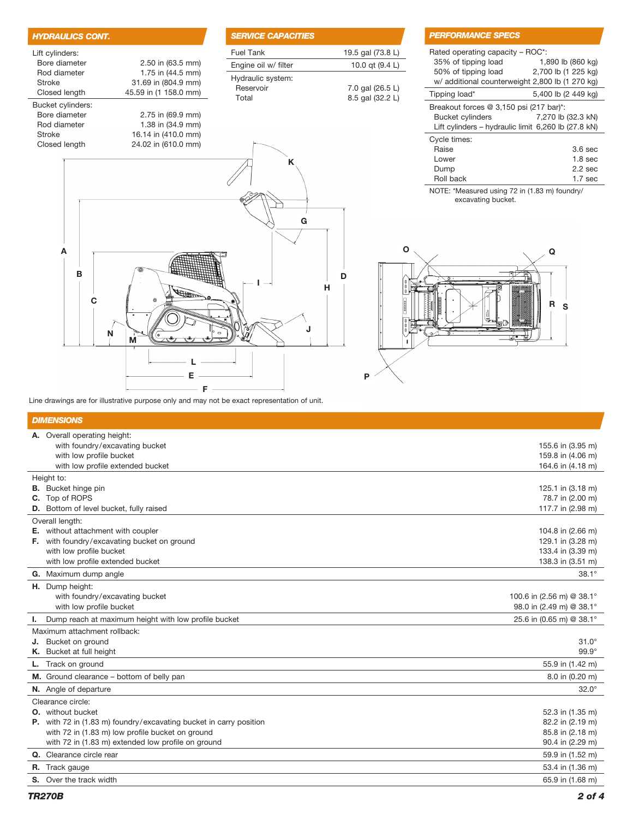| <b>HYDRAULICS CONT.</b>                 |                                                                   | <b>SERVICE CAPACITIES</b>               |
|-----------------------------------------|-------------------------------------------------------------------|-----------------------------------------|
| Lift cylinders:                         |                                                                   | <b>Fuel Tank</b>                        |
| Bore diameter                           | 2.50 in (63.5 mm)                                                 | Engine oil w/ filter                    |
| Rod diameter<br>Stroke<br>Closed length | 1.75 in (44.5 mm)<br>31.69 in (804.9 mm)<br>45.59 in (1 158.0 mm) | Hydraulic system:<br>Reservoir<br>Total |
| Bucket cylinders:                       |                                                                   |                                         |
| Bore diameter<br>Rod diameter           | 2.75 in (69.9 mm)<br>1.38 in (34.9 mm)                            |                                         |
| <b>Stroke</b><br>Closed length          | 16.14 in (410.0 mm)<br>24.02 in (610.0 mm)                        |                                         |
|                                         |                                                                   | K                                       |
|                                         |                                                                   | G                                       |
|                                         |                                                                   |                                         |
| A<br>в                                  |                                                                   |                                         |

| <i><b>SERVICE CAPACITIES</b></i> |                   |
|----------------------------------|-------------------|
| Fuel Tank                        | 19.5 gal (73.8 L) |
| Engine oil w/ filter             | 10.0 qt (9.4 L)   |
| Hydraulic system:                |                   |
| Reservoir                        | 7.0 gal (26.5 L)  |
| Total                            | 8.5 gal (32.2 L)  |
|                                  |                   |

D

H

J

## *PERFORMANCE SPECS*

| Rated operating capacity – ROC*:<br>35% of tipping load<br>50% of tipping load<br>w/ additional counterweight 2,800 lb (1 270 kg) | 1,890 lb (860 kg)<br>2,700 lb (1 225 kg) |
|-----------------------------------------------------------------------------------------------------------------------------------|------------------------------------------|
| Tipping load*                                                                                                                     | 5,400 lb (2 449 kg)                      |
| Breakout forces @ 3,150 psi (217 bar)*:<br><b>Bucket cylinders</b><br>Lift cylinders – hydraulic limit 6,260 lb (27.8 kN)         | 7,270 lb (32.3 kN)                       |
| Cycle times:                                                                                                                      |                                          |
| Raise                                                                                                                             | 3.6 <sub>sec</sub>                       |
| Lower                                                                                                                             | $1.8$ sec                                |
| Dump                                                                                                                              | 2.2 <sub>sec</sub>                       |
| Roll back                                                                                                                         | 1.7 sec                                  |

NOTE: \*Measured using 72 in (1.83 m) foundry/ excavating bucket.



Line drawings are for illustrative purpose only and may not be exact representation of unit.

M

N

F

L

E

## *DIMENSIONS*

|    | A. Overall operating height:                                              |                           |
|----|---------------------------------------------------------------------------|---------------------------|
|    | with foundry/excavating bucket                                            | 155.6 in (3.95 m)         |
|    | with low profile bucket                                                   | 159.8 in (4.06 m)         |
|    | with low profile extended bucket                                          | 164.6 in (4.18 m)         |
|    | Height to:                                                                |                           |
|    | <b>B.</b> Bucket hinge pin                                                | 125.1 in (3.18 m)         |
|    | C. Top of ROPS                                                            | 78.7 in (2.00 m)          |
|    | D. Bottom of level bucket, fully raised                                   | 117.7 in (2.98 m)         |
|    | Overall length:                                                           |                           |
|    | E. without attachment with coupler                                        | 104.8 in (2.66 m)         |
|    | F. with foundry/excavating bucket on ground                               | 129.1 in (3.28 m)         |
|    | with low profile bucket                                                   | 133.4 in (3.39 m)         |
|    | with low profile extended bucket                                          | 138.3 in (3.51 m)         |
|    | G. Maximum dump angle                                                     | $38.1^\circ$              |
|    | H. Dump height:                                                           |                           |
|    | with foundry/excavating bucket                                            | 100.6 in (2.56 m) @ 38.1° |
|    | with low profile bucket                                                   | 98.0 in (2.49 m) @ 38.1°  |
| L. | Dump reach at maximum height with low profile bucket                      | 25.6 in (0.65 m) @ 38.1°  |
|    | Maximum attachment rollback:                                              |                           |
|    | J. Bucket on ground                                                       | $31.0^\circ$              |
|    | K. Bucket at full height                                                  | $99.9^\circ$              |
|    | <b>L.</b> Track on ground                                                 | 55.9 in (1.42 m)          |
|    | M. Ground clearance - bottom of belly pan                                 | 8.0 in (0.20 m)           |
|    | N. Angle of departure                                                     | $32.0^\circ$              |
|    | Clearance circle:                                                         |                           |
|    | <b>O.</b> without bucket                                                  | 52.3 in (1.35 m)          |
|    | <b>P.</b> with 72 in (1.83 m) foundry/excavating bucket in carry position | 82.2 in (2.19 m)          |
|    | with 72 in (1.83 m) low profile bucket on ground                          | 85.8 in (2.18 m)          |
|    | with 72 in (1.83 m) extended low profile on ground                        | 90.4 in (2.29 m)          |
|    | Q. Clearance circle rear                                                  | 59.9 in (1.52 m)          |
|    | R. Track gauge                                                            | 53.4 in (1.36 m)          |
|    | <b>S.</b> Over the track width                                            | 65.9 in (1.68 m)          |
|    |                                                                           |                           |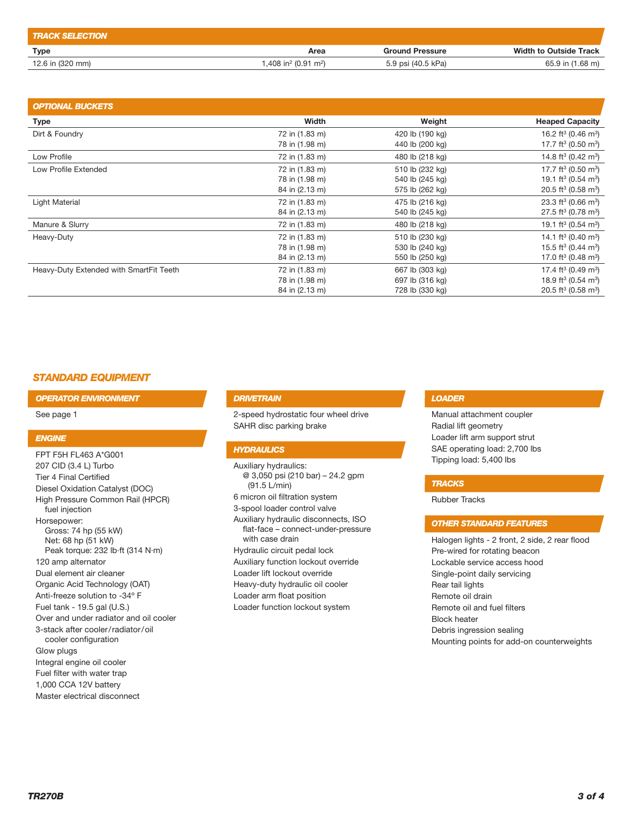| <b>TRACK SELECTION</b> |                                              |                        |                               |
|------------------------|----------------------------------------------|------------------------|-------------------------------|
| Type                   | Area                                         | <b>Ground Pressure</b> | <b>Width to Outside Track</b> |
| 12.6 in (320 mm)       | 1,408 in <sup>2</sup> (0.91 m <sup>2</sup> ) | 5.9 psi (40.5 kPa)     | 65.9 in (1.68 m)              |

| <b>OPTIONAL BUCKETS</b>                 |                |                 |                                             |
|-----------------------------------------|----------------|-----------------|---------------------------------------------|
| <b>Type</b>                             | Width          | Weight          | <b>Heaped Capacity</b>                      |
| Dirt & Foundry                          | 72 in (1.83 m) | 420 lb (190 kg) | 16.2 ft <sup>3</sup> (0.46 m <sup>3</sup> ) |
|                                         | 78 in (1.98 m) | 440 lb (200 kg) | 17.7 ft <sup>3</sup> (0.50 m <sup>3</sup> ) |
| Low Profile                             | 72 in (1.83 m) | 480 lb (218 kg) | 14.8 ft <sup>3</sup> (0.42 m <sup>3</sup> ) |
| Low Profile Extended                    | 72 in (1.83 m) | 510 lb (232 kg) | 17.7 ft <sup>3</sup> (0.50 m <sup>3</sup> ) |
|                                         | 78 in (1.98 m) | 540 lb (245 kg) | 19.1 ft <sup>3</sup> (0.54 m <sup>3</sup> ) |
|                                         | 84 in (2.13 m) | 575 lb (262 kg) | 20.5 ft <sup>3</sup> (0.58 m <sup>3</sup> ) |
| Light Material                          | 72 in (1.83 m) | 475 lb (216 kg) | 23.3 ft <sup>3</sup> (0.66 m <sup>3</sup> ) |
|                                         | 84 in (2.13 m) | 540 lb (245 kg) | 27.5 ft <sup>3</sup> (0.78 m <sup>3</sup> ) |
| Manure & Slurry                         | 72 in (1.83 m) | 480 lb (218 kg) | 19.1 ft <sup>3</sup> (0.54 m <sup>3</sup> ) |
| Heavy-Duty                              | 72 in (1.83 m) | 510 lb (230 kg) | 14.1 ft <sup>3</sup> (0.40 m <sup>3</sup> ) |
|                                         | 78 in (1.98 m) | 530 lb (240 kg) | 15.5 ft <sup>3</sup> (0.44 m <sup>3</sup> ) |
|                                         | 84 in (2.13 m) | 550 lb (250 kg) | 17.0 ft <sup>3</sup> (0.48 m <sup>3</sup> ) |
| Heavy-Duty Extended with SmartFit Teeth | 72 in (1.83 m) | 667 lb (303 kg) | 17.4 ft <sup>3</sup> (0.49 m <sup>3</sup> ) |
|                                         | 78 in (1.98 m) | 697 lb (316 kg) | 18.9 ft <sup>3</sup> (0.54 m <sup>3</sup> ) |
|                                         | 84 in (2.13 m) | 728 lb (330 kg) | 20.5 ft <sup>3</sup> (0.58 m <sup>3</sup> ) |

## *STANDARD EQUIPMENT*

*OPERATOR ENVIRONMENT*

See page 1

#### *ENGINE*

FPT F5H FL463 A\*G001 207 CID (3.4 L) Turbo Tier 4 Final Certified Diesel Oxidation Catalyst (DOC) High Pressure Common Rail (HPCR) fuel injection Horsepower: Gross: 74 hp (55 kW) Net: 68 hp (51 kW) Peak torque: 232 lb·ft (314 N·m) 120 amp alternator Dual element air cleaner Organic Acid Technology (OAT) Anti-freeze solution to -34º F Fuel tank - 19.5 gal (U.S.) Over and under radiator and oil cooler 3-stack after cooler/radiator/oil cooler configuration Glow plugs Integral engine oil cooler Fuel filter with water trap 1,000 CCA 12V battery Master electrical disconnect

#### *DRIVETRAIN*

2-speed hydrostatic four wheel drive SAHR disc parking brake

### *HYDRAULICS*

Auxiliary hydraulics: @ 3,050 psi (210 bar) – 24.2 gpm (91.5 L/min) 6 micron oil filtration system 3-spool loader control valve Auxiliary hydraulic disconnects, ISO flat-face – connect-under-pressure with case drain Hydraulic circuit pedal lock Auxiliary function lockout override Loader lift lockout override Heavy-duty hydraulic oil cooler Loader arm float position Loader function lockout system

### *LOADER*

Manual attachment coupler Radial lift geometry Loader lift arm support strut SAE operating load: 2,700 lbs Tipping load: 5,400 lbs

#### *TRACKS*

Rubber Tracks

### *OTHER STANDARD FEATURES*

Halogen lights - 2 front, 2 side, 2 rear flood Pre-wired for rotating beacon Lockable service access hood Single-point daily servicing Rear tail lights Remote oil drain Remote oil and fuel filters Block heater Debris ingression sealing Mounting points for add-on counterweights